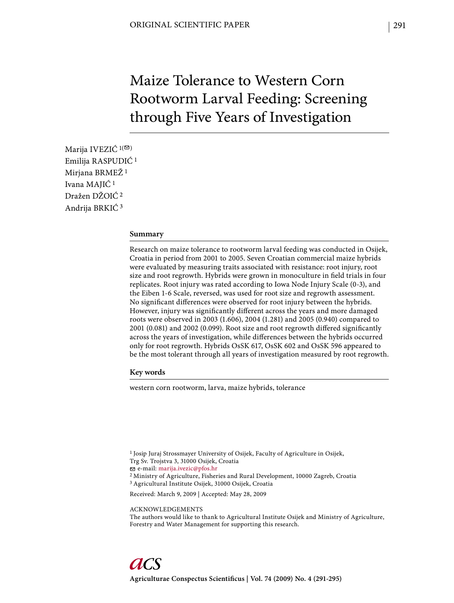# Maize Tolerance to Western Corn Rootworm Larval Feeding: Screening through Five Years of Investigation

Marija IVEZIĆ  $1($ <sup> $\odot$ </sup>) Emilija RASPUDIĆ 1 Mirjana BRMEŽ 1 Ivana MAJIĆ 1 Dražen DŽOIĆ 2 Andrija BRKIĆ 3

### **Summary**

Research on maize tolerance to rootworm larval feeding was conducted in Osijek, Croatia in period from 2001 to 2005. Seven Croatian commercial maize hybrids were evaluated by measuring traits associated with resistance: root injury, root size and root regrowth. Hybrids were grown in monoculture in field trials in four replicates. Root injury was rated according to Iowa Node Injury Scale (0-3), and the Eiben 1-6 Scale, reversed, was used for root size and regrowth assessment. No significant differences were observed for root injury between the hybrids. However, injury was significantly different across the years and more damaged roots were observed in 2003 (1.606), 2004 (1.281) and 2005 (0.940) compared to 2001 (0.081) and 2002 (0.099). Root size and root regrowth differed significantly across the years of investigation, while differences between the hybrids occurred only for root regrowth. Hybrids OsSK 617, OsSK 602 and OsSK 596 appeared to be the most tolerant through all years of investigation measured by root regrowth.

## **Key words**

western corn rootworm, larva, maize hybrids, tolerance

- Trg Sv. Trojstva 3, 31000 Osijek, Croatia
- e-mail: marija.ivezic@pfos.hr

2 Ministry of Agriculture, Fisheries and Rural Development, 10000 Zagreb, Croatia

3 Agricultural Institute Osijek, 31000 Osijek, Croatia

Received: March 9, 2009 | Accepted: May 28, 2009

ACKNOWLEDGEMENTS

The authors would like to thank to Agricultural Institute Osijek and Ministry of Agriculture, Forestry and Water Management for supporting this research.

<sup>1</sup> Josip Juraj Strossmayer University of Osijek, Faculty of Agriculture in Osijek,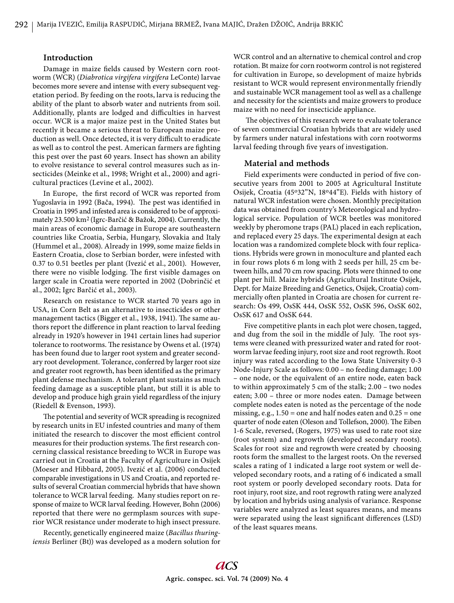#### **Introduction**

Damage in maize fields caused by Western corn rootworm (WCR) (*Diabrotica virgifera virgifera* LeConte) larvae becomes more severe and intense with every subsequent vegetation period. By feeding on the roots, larva is reducing the ability of the plant to absorb water and nutrients from soil. Additionally, plants are lodged and difficulties in harvest occur. WCR is a major maize pest in the United States but recently it became a serious threat to European maize production as well. Once detected, it is very difficult to eradicate as well as to control the pest. American farmers are fighting this pest over the past 60 years. Insect has shown an ability to evolve resistance to several control measures such as insecticides (Meinke et al., 1998; Wright et al., 2000) and agricultural practices (Levine et al., 2002).

In Europe, the first record of WCR was reported from Yugoslavia in 1992 (Bača, 1994). The pest was identified in Croatia in 1995 and infested area is considered to be of approximately 23.500 km2 (Igrc-Barčić & Bažok, 2004). Currently, the main areas of economic damage in Europe are southeastern countries like Croatia, Serbia, Hungary, Slovakia and Italy (Hummel et al., 2008). Already in 1999, some maize fields in Eastern Croatia, close to Serbian border, were infested with 0.37 to 0.51 beetles per plant (Ivezić et al., 2001). However, there were no visible lodging. The first visible damages on larger scale in Croatia were reported in 2002 (Dobrinčić et al., 2002; Igrc Barčić et al., 2003).

Research on resistance to WCR started 70 years ago in USA, in Corn Belt as an alternative to insecticides or other management tactics (Bigger et al., 1938, 1941). The same authors report the difference in plant reaction to larval feeding already in 1920's however in 1941 certain lines had superior tolerance to rootworms. The resistance by Owens et al. (1974) has been found due to larger root system and greater secondary root development. Tolerance, conferred by larger root size and greater root regrowth, has been identified as the primary plant defense mechanism. A tolerant plant sustains as much feeding damage as a susceptible plant, but still it is able to develop and produce high grain yield regardless of the injury (Riedell & Evenson, 1993).

The potential and severity of WCR spreading is recognized by research units in EU infested countries and many of them initiated the research to discover the most efficient control measures for their production systems. The first research concerning classical resistance breeding to WCR in Europe was carried out in Croatia at the Faculty of Agriculture in Osijek (Moeser and Hibbard, 2005). Ivezić et al. (2006) conducted comparable investigations in US and Croatia, and reported results of several Croatian commercial hybrids that have shown tolerance to WCR larval feeding. Many studies report on response of maize to WCR larval feeding. However, Bohn (2006) reported that there were no germplasm sources with superior WCR resistance under moderate to high insect pressure.

Recently, genetically engineered maize (*Bacillus thuringiensis* Berliner (Bt)) was developed as a modern solution for

WCR control and an alternative to chemical control and crop rotation. Bt maize for corn rootworm control is not registered for cultivation in Europe, so development of maize hybrids resistant to WCR would represent environmentally friendly and sustainable WCR management tool as well as a challenge and necessity for the scientists and maize growers to produce maize with no need for insecticide appliance.

The objectives of this research were to evaluate tolerance of seven commercial Croatian hybrids that are widely used by farmers under natural infestations with corn rootworms larval feeding through five years of investigation.

## **Material and methods**

Field experiments were conducted in period of five consecutive years from 2001 to 2005 at Agricultural Institute Osijek, Croatia (45o32"N, 18o44"E). Fields with history of natural WCR infestation were chosen. Monthly precipitation data was obtained from country's Meteorological and hydrological service. Population of WCR beetles was monitored weekly by pheromone traps (PAL) placed in each replication, and replaced every 25 days. The experimental design at each location was a randomized complete block with four replications. Hybrids were grown in monoculture and planted each in four rows plots 6 m long with 2 seeds per hill, 25 cm between hills, and 70 cm row spacing. Plots were thinned to one plant per hill. Maize hybrids (Agricultural Institute Osijek, Dept. for Maize Breeding and Genetics, Osijek, Croatia) commercially often planted in Croatia are chosen for current research: Os 499, OsSK 444, OsSK 552, OsSK 596, OsSK 602, OsSK 617 and OsSK 644.

Five competitive plants in each plot were chosen, tagged, and dug from the soil in the middle of July. The root systems were cleaned with pressurized water and rated for rootworm larvae feeding injury, root size and root regrowth. Root injury was rated according to the Iowa State University 0-3 Node-Injury Scale as follows: 0.00 – no feeding damage; 1.00 – one node, or the equivalent of an entire node, eaten back to within approximately 5 cm of the stalk; 2.00 – two nodes eaten; 3.00 – three or more nodes eaten. Damage between complete nodes eaten is noted as the percentage of the node missing, e.g.,  $1.50 =$  one and half nodes eaten and  $0.25 =$  one quarter of node eaten (Oleson and Tollefson, 2000). The Eiben 1-6 Scale, reversed, (Rogers, 1975) was used to rate root size (root system) and regrowth (developed secondary roots). Scales for root size and regrowth were created by choosing roots form the smallest to the largest roots. On the reversed scales a rating of 1 indicated a large root system or well developed secondary roots, and a rating of 6 indicated a small root system or poorly developed secondary roots. Data for root injury, root size, and root regrowth rating were analyzed by location and hybrids using analysis of variance. Response variables were analyzed as least squares means, and means were separated using the least significant differences (LSD) of the least squares means.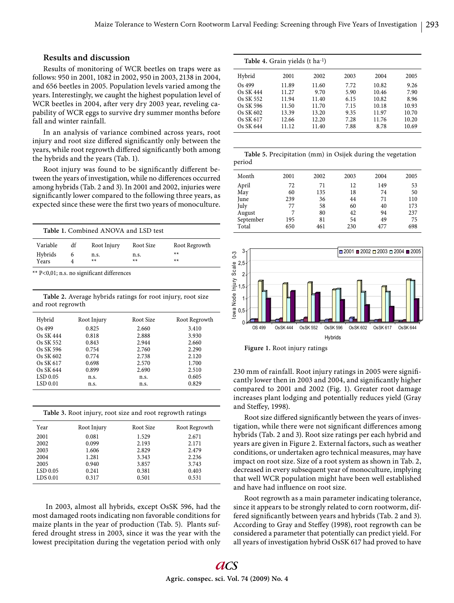# **Results and discussion**

Results of monitoring of WCR beetles on traps were as follows: 950 in 2001, 1082 in 2002, 950 in 2003, 2138 in 2004, and 656 beetles in 2005. Population levels varied among the years. Interestingly, we caught the highest population level of WCR beetles in 2004, after very dry 2003 year, reveling capability of WCR eggs to survive dry summer months before fall and winter rainfall.

In an analysis of variance combined across years, root injury and root size differed significantly only between the years, while root regrowth differed significantly both among the hybrids and the years (Tab. 1).

Root injury was found to be significantly different between the years of investigation, while no differences occurred among hybrids (Tab. 2 and 3). In 2001 and 2002, injuries were significantly lower compared to the following three years, as expected since these were the first two years of monoculture.

|                              |    | Table 1. Combined ANOVA and LSD test |                           |                                | Total                                      | 650 | 461 | 230 | 477                                                        | 698 |
|------------------------------|----|--------------------------------------|---------------------------|--------------------------------|--------------------------------------------|-----|-----|-----|------------------------------------------------------------|-----|
| Variable<br>Hybrids<br>Years | đf | Root Injury<br>n.s.<br>$***$         | Root Size<br>n.s.<br>$**$ | Root Regrowth<br>$**$<br>$***$ | ⊤ت<br>$\infty$<br>◠<br>∕ 2,5 <u>ه</u><br>œ |     |     |     | $\Box$ 2001 $\Box$ 2002 $\Box$ 2003 $\Box$ 2004 $\Box$ 200 |     |

\*\* P<0,01; n.s. no significant differences

**Table 2.** Average hybrids ratings for root injury, root size and root regrowth

| Hybrid    | Root Injury | Root Size | Root Regrowth |
|-----------|-------------|-----------|---------------|
| Os 499    | 0.825       | 2.660     | 3.410         |
| Os SK 444 | 0.818       | 2.888     | 3.930         |
| Os SK 552 | 0.843       | 2.944     | 2.660         |
| Os SK 596 | 0.754       | 2.760     | 2.290         |
| Os SK 602 | 0.774       | 2.738     | 2.120         |
| Os SK 617 | 0.698       | 2.570     | 1.700         |
| Os SK 644 | 0.899       | 2.690     | 2.510         |
| LSD 0.05  | n.s.        | n.s.      | 0.605         |
| LSD 0.01  | n.s.        | n.s.      | 0.829         |

| Table 3. Root injury, root size and root regrowth ratings |             |           |               |  |  |  |  |
|-----------------------------------------------------------|-------------|-----------|---------------|--|--|--|--|
| Year                                                      | Root Injury | Root Size | Root Regrowth |  |  |  |  |
| 2001                                                      | 0.081       | 1.529     | 2.671         |  |  |  |  |
| 2002                                                      | 0.099       | 2.193     | 2.171         |  |  |  |  |
| 2003                                                      | 1.606       | 2.829     | 2.479         |  |  |  |  |
| 2004                                                      | 1.281       | 3.343     | 2.236         |  |  |  |  |
| 2005                                                      | 0.940       | 3.857     | 3.743         |  |  |  |  |
| LSD 0.05                                                  | 0.241       | 0.381     | 0.403         |  |  |  |  |
| LDS 0.01                                                  | 0.317       | 0.501     | 0.531         |  |  |  |  |

 In 2003, almost all hybrids, except OsSK 596, had the most damaged roots indicating non favorable conditions for maize plants in the year of production (Tab. 5). Plants suffered drought stress in 2003, since it was the year with the lowest precipitation during the vegetation period with only

| Table 4. Grain yields (t ha <sup>-1</sup> ) |       |       |      |       |       |  |  |  |
|---------------------------------------------|-------|-------|------|-------|-------|--|--|--|
| Hybrid                                      | 2001  | 2002  | 2003 | 2004  | 2005  |  |  |  |
| $Os$ 499                                    | 11.89 | 11.60 | 7.72 | 10.82 | 9.26  |  |  |  |
| Os SK 444                                   | 11.27 | 9.70  | 5.90 | 10.46 | 7.90  |  |  |  |
| Os SK 552                                   | 11.94 | 11.40 | 6.15 | 10.82 | 8.96  |  |  |  |
| Os SK 596                                   | 11.50 | 11.70 | 7.15 | 10.18 | 10.93 |  |  |  |
| Os SK 602                                   | 13.39 | 13.20 | 9.35 | 11.97 | 10.70 |  |  |  |
| Os SK 617                                   | 12.66 | 12.20 | 7.28 | 11.76 | 10.20 |  |  |  |
| Os SK 644                                   | 11.12 | 11.40 | 7.88 | 8.78  | 10.69 |  |  |  |

|        | Table 5. Precipitation (mm) in Osijek during the vegetation |  |  |  |
|--------|-------------------------------------------------------------|--|--|--|
| period |                                                             |  |  |  |

| Month     | 2001 | 2002 | 2003 | 2004 | 2005 |
|-----------|------|------|------|------|------|
| April     | 72   | 71   | 12   | 149  | 53   |
| May       | 60   | 135  | 18   | 74   | 50   |
| June      | 239  | 36   | 44   | 71   | 110  |
| July      | 77   | 58   | 60   | 40   | 173  |
| August    | 7    | 80   | 42   | 94   | 237  |
| September | 195  | 81   | 54   | 49   | 75   |
| Total     | 650  | 461  | 230  | 477  | 698  |
|           |      |      |      |      |      |



**Figure 1.** Root injury ratings

230 mm of rainfall. Root injury ratings in 2005 were signifi cantly lower then in 2003 and 2004, and significantly higher compared to 2001 and 2002 (Fig. 1). Greater root damage increases plant lodging and potentially reduces yield (Gray and Steffey, 1998).

Root size differed significantly between the years of investigation, while there were not significant differences among hybrids (Tab. 2 and 3). Root size ratings per each hybrid and years are given in Figure 2. External factors, such as weather conditions, or undertaken agro technical measures, may have impact on root size. Size of a root system as shown in Tab. 2, decreased in every subsequent year of monoculture, implying that well WCR population might have been well established and have had influence on root size.

Root regrowth as a main parameter indicating tolerance, since it appears to be strongly related to corn rootworm, differed significantly between years and hybrids (Tab. 2 and 3). According to Gray and Steffey (1998), root regrowth can be considered a parameter that potentially can predict yield. For all years of investigation hybrid OsSK 617 had proved to have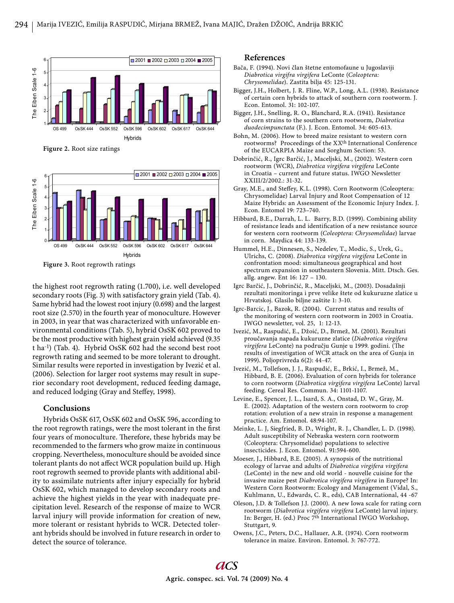

**Figure 2.** Root size ratings



**Figure 3.** Root regrowth ratings

the highest root regrowth rating (1.700), i.e. well developed secondary roots (Fig. 3) with satisfactory grain yield (Tab. 4). Same hybrid had the lowest root injury (0.698) and the largest root size (2.570) in the fourth year of monoculture. However in 2003, in year that was characterized with unfavorable environmental conditions (Tab. 5), hybrid OsSK 602 proved to be the most productive with highest grain yield achieved (9.35 t ha-1) (Tab. 4). Hybrid OsSK 602 had the second best root regrowth rating and seemed to be more tolerant to drought. Similar results were reported in investigation by Ivezić et al. (2006). Selection for larger root systems may result in superior secondary root development, reduced feeding damage, and reduced lodging (Gray and Steffey, 1998).

# **Conclusions**

Hybrids OsSK 617, OsSK 602 and OsSK 596, according to the root regrowth ratings, were the most tolerant in the first four years of monoculture. Therefore, these hybrids may be recommended to the farmers who grow maize in continuous cropping. Nevertheless, monoculture should be avoided since tolerant plants do not affect WCR population build up. High root regrowth seemed to provide plants with additional ability to assimilate nutrients after injury especially for hybrid OsSK 602, which managed to develop secondary roots and achieve the highest yields in the year with inadequate precipitation level. Research of the response of maize to WCR larval injury will provide information for creation of new, more tolerant or resistant hybrids to WCR. Detected tolerant hybrids should be involved in future research in order to detect the source of tolerance.

### **References**

- Bača, F. (1994). Novi član štetne entomofaune u Jugoslaviji *Diabrotica virgifra virgifera* LeConte (*Coleoptera: Chrysomelidae*). Zastita bilja 45: 125-131.
- Bigger, J.H., Holbert, J. R. Fline, W.P., Long, A.L. (1938). Resistance of certain corn hybrids to attack of southern corn rootworm. J. Econ. Entomol. 31: 102-107.
- Bigger, J.H., Snelling, R. O., Blanchard, R.A. (1941). Resistance of corn strains to the southern corn rootworm, *Diabrotica duodecimpunctata* (F.). J. Econ. Entomol. 34: 605-613.
- Bohn, M. (2006). How to breed maize resistant to western corn rootworms? Proceedings of the XXth International Conference of the EUCARPIA Maize and Sorghum Section: 53.
- Dobrinčić, R., Igrc Barčić, J., Maceljski, M., (2002). Western corn rootworm (WCR), *Diabrotica virgifera virgifera* LeConte in Croatia – current and future status. IWGO Newsletter XXIII/2/2002.: 31-32.
- Gray, M.E., and Steffey, K.L. (1998). Corn Rootworm (Coleoptera: Chrysomelidae) Larval Injury and Root Compensation of 12 Maize Hybrids: an Assessment of the Economic Injury Index. J. Econ. Entomol 19: 723–740.
- Hibbard, B.E., Darrah, L. L. Barry, B.D. (1999). Combining ability of resistance leads and identification of a new resistance source for western corn rootworm (*Coleoptera: Chrysomelidae*) larvae in corn. Maydica 44: 133-139.
- Hummel, H.E., Dinnesen, S., Nedelev, T., Modic, S., Urek, G., Ulrichs, C. (2008). *Diabrotica virgifera virgifera* LeConte in confrontation mood: simultaneous geographical and host spectrum expansion in southeastern Slovenia. Mitt. Dtsch. Ges. allg. angew. Ent 16: 127 – 130.
- Igrc Barčić, J., Dobrinčić, R., Maceljski, M., (2003). Dosadašnji rezultati monitoringa i prve velike štete od kukuruzne zlatice u Hrvatskoj. Glasilo biljne zaštite 1: 3-10.
- Igrc-Barcic, J., Bazok, R. (2004). Current status and results of the monitoring of western corn rootworm in 2003 in Croatia. IWGO newsletter, vol. 25, 1: 12-13.
- Ivezić, M., Raspudić, E., Džoić, D., Brmež, M. (2001). Rezultati proučavanja napada kukuruzne zlatice (*Diabrotica virgifera*  virgifera LeConte) na području Gunje u 1999. godini. (The results of investigation of WCR attack on the area of Gunja in 1999). Poljoprivreda 6(2): 44-47.
- Ivezić, M., Tollefson, J. J., Raspudić, E., Brkić, I., Brmež, M., Hibbard, B. E. (2006). Evaluation of corn hybrids for tolerance to corn rootworm (*Diabrotica virgifera virgifera* LeConte) larval feeding. Cereal Res. Commun. 34: 1101-1107.
- Levine, E., Spencer, J. L., Isard, S. A., Onstad, D. W., Gray, M. E. (2002). Adaptation of the western corn rootworm to crop rotation: evolution of a new strain in response a management practice. Am. Entomol. 48:94-107.
- Meinke, L. J, Siegfried, B. D., Wright, R. J., Chandler, L. D. (1998). Adult susceptibility of Nebraska western corn rootworm (Coleoptera: Chrysomelidae) populations to selective insecticides. J. Econ. Entomol. 91:594-600.
- Moeser, J., Hibbard, B.E. (2005). A synopsis of the nutritional ecology of larvae and adults of *Diabrotica virgifera virgifera* (LeConte) in the new and old world - nouvelle cuisine for the invasive maize pest *Diabrotica virgifera virgifera* in Europe? In: Western Corn Rootworm: Ecology and Management (Vidal, S., Kuhlmann, U., Edwards, C. R., eds), CAB International, 44 -67
- Oleson, J.D. & Tollefson J.J. (2000). A new Iowa scale for rating corn rootworm (*Diabrotica virgifera virgifera* LeConte) larval injury. In: Berger, H. (ed.) Proc 7th International IWGO Workshop, Stuttgart, 9.
- Owens, J.C., Peters, D.C., Hallauer, A.R. (1974). Corn rootworm tolerance in maize. Environ. Entomol. 3: 767-772.